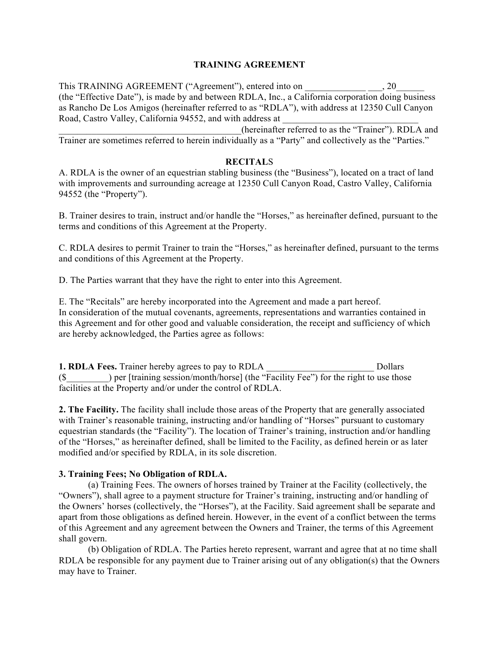# **TRAINING AGREEMENT**

This TRAINING AGREEMENT ("Agreement"), entered into on  $\qquad \qquad , 20$ (the "Effective Date"), is made by and between RDLA, Inc., a California corporation doing business as Rancho De Los Amigos (hereinafter referred to as "RDLA"), with address at 12350 Cull Canyon Road, Castro Valley, California 94552, and with address at

\_\_\_\_\_\_\_\_\_\_\_\_\_\_\_\_\_\_\_\_\_\_\_\_\_\_\_\_\_\_\_\_\_\_\_\_\_\_\_(hereinafter referred to as the "Trainer"). RDLA and Trainer are sometimes referred to herein individually as a "Party" and collectively as the "Parties."

## **RECITAL**S

A. RDLA is the owner of an equestrian stabling business (the "Business"), located on a tract of land with improvements and surrounding acreage at 12350 Cull Canyon Road, Castro Valley, California 94552 (the "Property").

B. Trainer desires to train, instruct and/or handle the "Horses," as hereinafter defined, pursuant to the terms and conditions of this Agreement at the Property.

C. RDLA desires to permit Trainer to train the "Horses," as hereinafter defined, pursuant to the terms and conditions of this Agreement at the Property.

D. The Parties warrant that they have the right to enter into this Agreement.

E. The "Recitals" are hereby incorporated into the Agreement and made a part hereof. In consideration of the mutual covenants, agreements, representations and warranties contained in this Agreement and for other good and valuable consideration, the receipt and sufficiency of which are hereby acknowledged, the Parties agree as follows:

**1. RDLA Fees.** Trainer hereby agrees to pay to RDLA **D**ollars  $(\$$  ) per [training session/month/horse] (the "Facility Fee") for the right to use those facilities at the Property and/or under the control of RDLA.

**2. The Facility.** The facility shall include those areas of the Property that are generally associated with Trainer's reasonable training, instructing and/or handling of "Horses" pursuant to customary equestrian standards (the "Facility"). The location of Trainer's training, instruction and/or handling of the "Horses," as hereinafter defined, shall be limited to the Facility, as defined herein or as later modified and/or specified by RDLA, in its sole discretion.

## **3. Training Fees; No Obligation of RDLA.**

(a) Training Fees. The owners of horses trained by Trainer at the Facility (collectively, the "Owners"), shall agree to a payment structure for Trainer's training, instructing and/or handling of the Owners' horses (collectively, the "Horses"), at the Facility. Said agreement shall be separate and apart from those obligations as defined herein. However, in the event of a conflict between the terms of this Agreement and any agreement between the Owners and Trainer, the terms of this Agreement shall govern.

(b) Obligation of RDLA. The Parties hereto represent, warrant and agree that at no time shall RDLA be responsible for any payment due to Trainer arising out of any obligation(s) that the Owners may have to Trainer.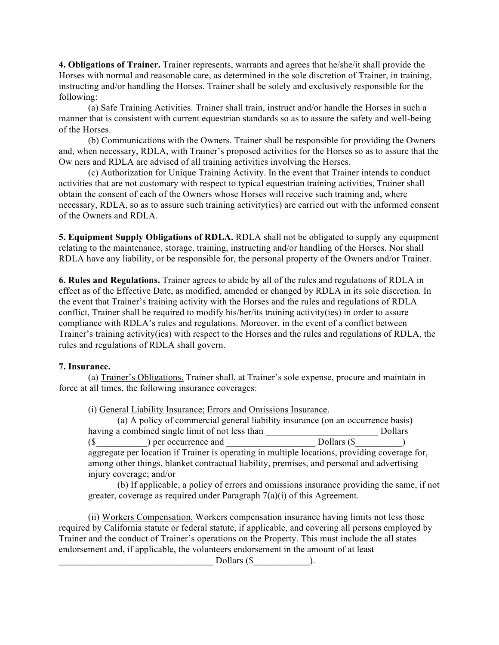**4. Obligations of Trainer.** Trainer represents, warrants and agrees that he/she/it shall provide the Horses with normal and reasonable care, as determined in the sole discretion of Trainer, in training, instructing and/or handling the Horses. Trainer shall be solely and exclusively responsible for the following:

(a) Safe Training Activities. Trainer shall train, instruct and/or handle the Horses in such a manner that is consistent with current equestrian standards so as to assure the safety and well-being of the Horses.

(b) Communications with the Owners. Trainer shall be responsible for providing the Owners and, when necessary, RDLA, with Trainer's proposed activities for the Horses so as to assure that the Ow ners and RDLA are advised of all training activities involving the Horses.

(c) Authorization for Unique Training Activity. In the event that Trainer intends to conduct activities that are not customary with respect to typical equestrian training activities, Trainer shall obtain the consent of each of the Owners whose Horses will receive such training and, where necessary, RDLA, so as to assure such training activity(ies) are carried out with the informed consent of the Owners and RDLA.

**5. Equipment Supply Obligations of RDLA.** RDLA shall not be obligated to supply any equipment relating to the maintenance, storage, training, instructing and/or handling of the Horses. Nor shall RDLA have any liability, or be responsible for, the personal property of the Owners and/or Trainer.

**6. Rules and Regulations.** Trainer agrees to abide by all of the rules and regulations of RDLA in effect as of the Effective Date, as modified, amended or changed by RDLA in its sole discretion. In the event that Trainer's training activity with the Horses and the rules and regulations of RDLA conflict, Trainer shall be required to modify his/her/its training activity(ies) in order to assure compliance with RDLA's rules and regulations. Moreover, in the event of a conflict between Trainer's training activity(ies) with respect to the Horses and the rules and regulations of RDLA, the rules and regulations of RDLA shall govern.

## **7. Insurance.**

(a) Trainer's Obligations. Trainer shall, at Trainer's sole expense, procure and maintain in force at all times, the following insurance coverages:

(i) General Liability Insurance; Errors and Omissions Insurance.

| (a) A policy of commercial general liability insurance (on an occurrence basis) |             |  |
|---------------------------------------------------------------------------------|-------------|--|
| having a combined single limit of not less than                                 | Dollars     |  |
| (S)<br>) per occurrence and                                                     | Dollars (\$ |  |

aggregate per location if Trainer is operating in multiple locations, providing coverage for, among other things, blanket contractual liability, premises, and personal and advertising injury coverage; and/or

(b) If applicable, a policy of errors and omissions insurance providing the same, if not greater, coverage as required under Paragraph 7(a)(i) of this Agreement.

(ii) Workers Compensation. Workers compensation insurance having limits not less those required by California statute or federal statute, if applicable, and covering all persons employed by Trainer and the conduct of Trainer's operations on the Property. This must include the all states endorsement and, if applicable, the volunteers endorsement in the amount of at least

Dollars  $(\$  ).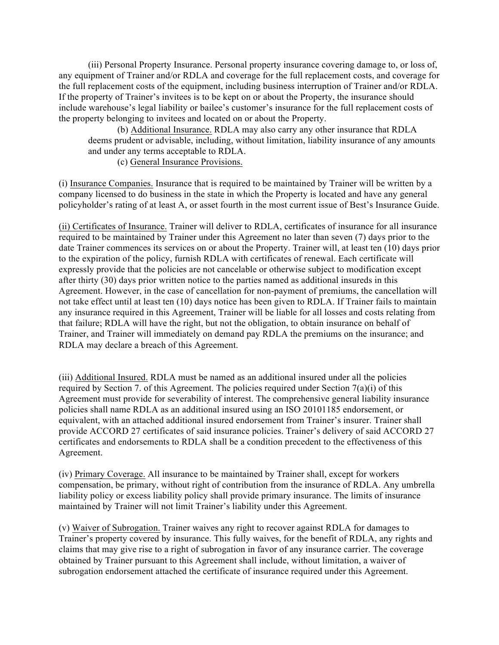(iii) Personal Property Insurance. Personal property insurance covering damage to, or loss of, any equipment of Trainer and/or RDLA and coverage for the full replacement costs, and coverage for the full replacement costs of the equipment, including business interruption of Trainer and/or RDLA. If the property of Trainer's invitees is to be kept on or about the Property, the insurance should include warehouse's legal liability or bailee's customer's insurance for the full replacement costs of the property belonging to invitees and located on or about the Property.

(b) Additional Insurance. RDLA may also carry any other insurance that RDLA deems prudent or advisable, including, without limitation, liability insurance of any amounts and under any terms acceptable to RDLA.

(c) General Insurance Provisions.

(i) Insurance Companies. Insurance that is required to be maintained by Trainer will be written by a company licensed to do business in the state in which the Property is located and have any general policyholder's rating of at least A, or asset fourth in the most current issue of Best's Insurance Guide.

(ii) Certificates of Insurance. Trainer will deliver to RDLA, certificates of insurance for all insurance required to be maintained by Trainer under this Agreement no later than seven (7) days prior to the date Trainer commences its services on or about the Property. Trainer will, at least ten (10) days prior to the expiration of the policy, furnish RDLA with certificates of renewal. Each certificate will expressly provide that the policies are not cancelable or otherwise subject to modification except after thirty (30) days prior written notice to the parties named as additional insureds in this Agreement. However, in the case of cancellation for non-payment of premiums, the cancellation will not take effect until at least ten (10) days notice has been given to RDLA. If Trainer fails to maintain any insurance required in this Agreement, Trainer will be liable for all losses and costs relating from that failure; RDLA will have the right, but not the obligation, to obtain insurance on behalf of Trainer, and Trainer will immediately on demand pay RDLA the premiums on the insurance; and RDLA may declare a breach of this Agreement.

(iii) Additional Insured. RDLA must be named as an additional insured under all the policies required by Section 7. of this Agreement. The policies required under Section 7(a)(i) of this Agreement must provide for severability of interest. The comprehensive general liability insurance policies shall name RDLA as an additional insured using an ISO 20101185 endorsement, or equivalent, with an attached additional insured endorsement from Trainer's insurer. Trainer shall provide ACCORD 27 certificates of said insurance policies. Trainer's delivery of said ACCORD 27 certificates and endorsements to RDLA shall be a condition precedent to the effectiveness of this Agreement.

(iv) Primary Coverage. All insurance to be maintained by Trainer shall, except for workers compensation, be primary, without right of contribution from the insurance of RDLA. Any umbrella liability policy or excess liability policy shall provide primary insurance. The limits of insurance maintained by Trainer will not limit Trainer's liability under this Agreement.

(v) Waiver of Subrogation. Trainer waives any right to recover against RDLA for damages to Trainer's property covered by insurance. This fully waives, for the benefit of RDLA, any rights and claims that may give rise to a right of subrogation in favor of any insurance carrier. The coverage obtained by Trainer pursuant to this Agreement shall include, without limitation, a waiver of subrogation endorsement attached the certificate of insurance required under this Agreement.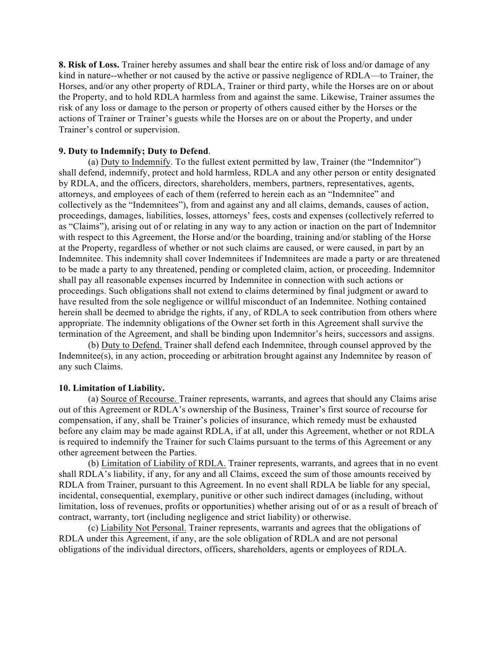**8. Risk of Loss.** Trainer hereby assumes and shall bear the entire risk of loss and/or damage of any kind in nature--whether or not caused by the active or passive negligence of RDLA—to Trainer, the Horses, and/or any other property of RDLA, Trainer or third party, while the Horses are on or about the Property, and to hold RDLA harmless from and against the same. Likewise, Trainer assumes the risk of any loss or damage to the person or property of others caused either by the Horses or the actions of Trainer or Trainer's guests while the Horses are on or about the Property, and under Trainer's control or supervision.

### **9. Duty to Indemnify; Duty to Defend**.

(a) Duty to Indemnify. To the fullest extent permitted by law, Trainer (the "Indemnitor") shall defend, indemnify, protect and hold harmless, RDLA and any other person or entity designated by RDLA, and the officers, directors, shareholders, members, partners, representatives, agents, attorneys, and employees of each of them (referred to herein each as an "Indemnitee" and collectively as the "Indemnitees"), from and against any and all claims, demands, causes of action, proceedings, damages, liabilities, losses, attorneys' fees, costs and expenses (collectively referred to as "Claims"), arising out of or relating in any way to any action or inaction on the part of Indemnitor with respect to this Agreement, the Horse and/or the boarding, training and/or stabling of the Horse at the Property, regardless of whether or not such claims are caused, or were caused, in part by an Indemnitee. This indemnity shall cover Indemnitees if Indemnitees are made a party or are threatened to be made a party to any threatened, pending or completed claim, action, or proceeding. Indemnitor shall pay all reasonable expenses incurred by Indemnitee in connection with such actions or proceedings. Such obligations shall not extend to claims determined by final judgment or award to have resulted from the sole negligence or willful misconduct of an Indemnitee. Nothing contained herein shall be deemed to abridge the rights, if any, of RDLA to seek contribution from others where appropriate. The indemnity obligations of the Owner set forth in this Agreement shall survive the termination of the Agreement, and shall be binding upon Indemnitor's heirs, successors and assigns.

(b) Duty to Defend. Trainer shall defend each Indemnitee, through counsel approved by the Indemnitee(s), in any action, proceeding or arbitration brought against any Indemnitee by reason of any such Claims.

#### **10. Limitation of Liability.**

(a) Source of Recourse. Trainer represents, warrants, and agrees that should any Claims arise out of this Agreement or RDLA's ownership of the Business, Trainer's first source of recourse for compensation, if any, shall be Trainer's policies of insurance, which remedy must be exhausted before any claim may be made against RDLA, if at all, under this Agreement, whether or not RDLA is required to indemnify the Trainer for such Claims pursuant to the terms of this Agreement or any other agreement between the Parties.

(b) Limitation of Liability of RDLA. Trainer represents, warrants, and agrees that in no event shall RDLA's liability, if any, for any and all Claims, exceed the sum of those amounts received by RDLA from Trainer, pursuant to this Agreement. In no event shall RDLA be liable for any special, incidental, consequential, exemplary, punitive or other such indirect damages (including, without limitation, loss of revenues, profits or opportunities) whether arising out of or as a result of breach of contract, warranty, tort (including negligence and strict liability) or otherwise.

(c) Liability Not Personal. Trainer represents, warrants and agrees that the obligations of RDLA under this Agreement, if any, are the sole obligation of RDLA and are not personal obligations of the individual directors, officers, shareholders, agents or employees of RDLA.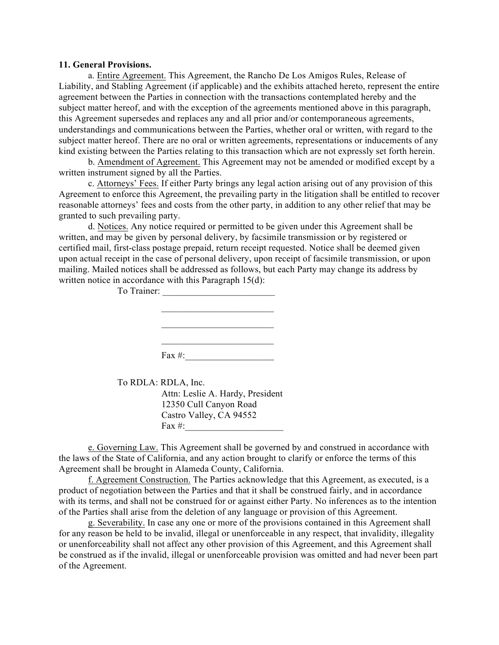#### **11. General Provisions.**

a. Entire Agreement. This Agreement, the Rancho De Los Amigos Rules, Release of Liability, and Stabling Agreement (if applicable) and the exhibits attached hereto, represent the entire agreement between the Parties in connection with the transactions contemplated hereby and the subject matter hereof, and with the exception of the agreements mentioned above in this paragraph, this Agreement supersedes and replaces any and all prior and/or contemporaneous agreements, understandings and communications between the Parties, whether oral or written, with regard to the subject matter hereof. There are no oral or written agreements, representations or inducements of any kind existing between the Parties relating to this transaction which are not expressly set forth herein.

b. Amendment of Agreement. This Agreement may not be amended or modified except by a written instrument signed by all the Parties.

c. Attorneys' Fees. If either Party brings any legal action arising out of any provision of this Agreement to enforce this Agreement, the prevailing party in the litigation shall be entitled to recover reasonable attorneys' fees and costs from the other party, in addition to any other relief that may be granted to such prevailing party.

d. Notices. Any notice required or permitted to be given under this Agreement shall be written, and may be given by personal delivery, by facsimile transmission or by registered or certified mail, first-class postage prepaid, return receipt requested. Notice shall be deemed given upon actual receipt in the case of personal delivery, upon receipt of facsimile transmission, or upon mailing. Mailed notices shall be addressed as follows, but each Party may change its address by written notice in accordance with this Paragraph 15(d):

| To Trainer: | $\sim$ 1<br>$\sim$ $\sim$ $\sim$ |
|-------------|----------------------------------|
|             |                                  |
|             |                                  |
|             | Fax $#$ :                        |

 To RDLA: RDLA, Inc. Attn: Leslie A. Hardy, President 12350 Cull Canyon Road Castro Valley, CA 94552 Fax  $#$ :

e. Governing Law. This Agreement shall be governed by and construed in accordance with the laws of the State of California, and any action brought to clarify or enforce the terms of this Agreement shall be brought in Alameda County, California.

f. Agreement Construction. The Parties acknowledge that this Agreement, as executed, is a product of negotiation between the Parties and that it shall be construed fairly, and in accordance with its terms, and shall not be construed for or against either Party. No inferences as to the intention of the Parties shall arise from the deletion of any language or provision of this Agreement.

g. Severability. In case any one or more of the provisions contained in this Agreement shall for any reason be held to be invalid, illegal or unenforceable in any respect, that invalidity, illegality or unenforceability shall not affect any other provision of this Agreement, and this Agreement shall be construed as if the invalid, illegal or unenforceable provision was omitted and had never been part of the Agreement.